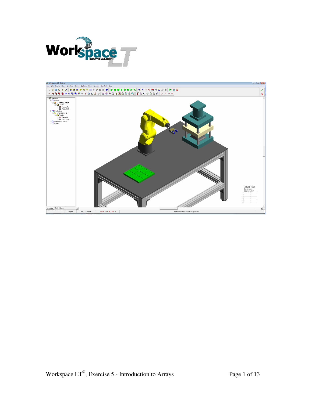

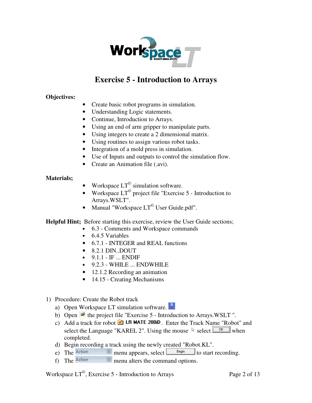

## **Exercise 5 - Introduction to Arrays**

## **Objectives:**

- Create basic robot programs in simulation.
- Understanding Logic statements.
- Continue, Introduction to Arrays.
- Using an end of arm gripper to manipulate parts.
- Using integers to create a 2 dimensional matrix.
- Using routines to assign various robot tasks.
- Integration of a mold press in simulation.
- Use of Inputs and outputs to control the simulation flow.
- Create an Animation file (.avi).

## **Materials;**

- Workspace  $LT^{\circ}$  simulation software.
- Workspace  $LT^{\circ}$  project file "Exercise 5 Introduction to Arrays.WSLT".
- Manual "Workspace  $LT^{\circ}$  User Guide.pdf".

**Helpful Hint;** Before starting this exercise, review the User Guide sections;

- 6.3 Comments and Workspace commands
- 6.4.5 Variables
- 6.7.1 INTEGER and REAL functions
- $\bullet$  8.2.1 DIN..DOUT
- $9.1.1 IF$  ... ENDIF
- 9.2.3 WHILE ... ENDWHILE
- 12.1.2 Recording an animation
- 14.15 Creating Mechanisms
- 1) Procedure: Create the Robot track
	- a) Open Workspace LT simulation software.
	- b) Open  $\mathcal{F}$  the project file "Exercise 5 Introduction to Arrays.WSLT".
	- c) Add a track for robot  $\blacksquare$  LR MATE 200iD. Enter the Track Name "Robot" and select the Language "KAREL 2". Using the mouse  $\frac{1}{2}$  select  $\sqrt{\frac{6K}{1.06}}$  when completed.
	- d) Begin recording a track using the newly created "Robot.KL".
	- e) The  $\frac{\text{Action}}{\text{[m]}}$  menu appears, select  $\frac{\text{Begin}}{\text{[m]}}$  to start recording.
	- f) The Action  $\boxtimes$  menu alters the command options.

Workspace  $LT^{\circ}$ , Exercise 5 - Introduction to Arrays Page 2 of 13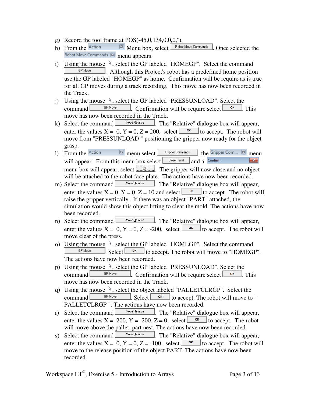- g) Record the tool frame at POS(-45,0,134,0,0,0,'').
- h) From the  $\overline{\text{Action}}$   $\overline{\text{[B]}}$  Menu box, select  $\overline{\text{[Bobot Move Commons]}}$ . Once selected the Robot Move Commands 8 menu appears.
- i) Using the mouse  $\sqrt[k]{ }$ , select the GP labeled "HOMEGP". Select the command GP Move . Although this Project's robot has a predefined home position use the GP labeled "HOMEGP" as home. Confirmation will be require as is true for all GP moves during a track recording. This move has now been recorded in the Track.
- j) Using the mouse  $\sqrt{k}$ , select the GP labeled "PRESSUNLOAD". Select the command  $\Box$  GPMove  $\Box$  Confirmation will be require select  $\Box$  CM  $\Box$ . This move has now been recorded in the Track.
- k) Select the command  $\Box$  Move <u>Relative</u>  $\Box$ . The "Relative" dialogue box will appear, enter the values  $X = 0$ ,  $Y = 0$ ,  $Z = 200$ . select  $\frac{X}{x}$  to accept. The robot will move from "PRESSUNLOAD " positioning the gripper now ready for the object grasp.
- 1) From the Action  $\boxtimes$  menu select  $\boxed{\text{Gripper Commands}}$ , the Gripper Com...  $\boxed{\text{S}}$  menu will appear. From this menu box select  $\Box$ Close Hand and a Confirm  $\boxed{\mathbf{x}}$ menu box will appear, select  $\Box$   $\Box$  The gripper will now close and no object will be attached to the robot face plate. The actions have now been recorded.<br>Select the command  $\Box$  Move Eelative  $\Box$  The "Relative" dialogue hox will annear
- m) Select the command  $\Box$  Move <u>Relative</u>  $\Box$ . The "Relative" dialogue box will appear, enter the values  $X = 0$ ,  $Y = 0$ ,  $Z = 10$  and select  $\frac{X}{x}$  to accept. The robot will raise the gripper vertically. If there was an object "PART" attached, the simulation would show this object lifting to clear the mold. The actions have now been recorded.
- n) Select the command  $\Box$  Move <u>Relative</u>  $\Box$ . The "Relative" dialogue box will appear, enter the values  $X = 0$ ,  $Y = 0$ ,  $Z = -200$ , select  $\frac{X}{x}$  to accept. The robot will move clear of the press.
- o) Using the mouse  $\sqrt[5]{ }$ , select the GP labeled "HOMEGP". Select the command  $\blacksquare$ . Select  $\Box$  set to accept. The robot will move to "HOMEGP". The actions have now been recorded.
- p) Using the mouse  $\sqrt[k]{ }$ , select the GP labeled "PRESSUNLOAD". Select the command  $\Box$  GPMove  $\Box$  Confirmation will be require select  $\Box$  CM. move has now been recorded in the Track.
- q) Using the mouse  $\sqrt[k]{ }$ , select the object labeled "PALLETCLRGP". Select the command  $\Box$  Select  $\Box$  Select to accept. The robot will move to " PALLETCLRGP ". The actions have now been recorded.
- r) Select the command  $\Box$  Move <u>Relative</u> . The "Relative" dialogue box will appear, enter the values  $X = 200$ ,  $Y = -200$ ,  $Z = 0$ , select  $\Box$ <sup>ok</sup> to accept. The robot will move above the pallet, part nest. The actions have now been recorded.
- s) Select the command  $\Box$  Move Belative  $\Box$ . The "Relative" dialogue box will appear, enter the values  $X = 0$ ,  $Y = 0$ ,  $Z = -100$ , select  $\frac{X}{x}$  to accept. The robot will move to the release position of the object PART. The actions have now been recorded.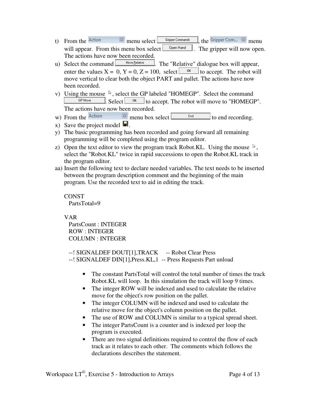- t) From the  $\overline{\text{Action}}$   $\overline{\text{[B]} }$  menu select  $\overline{\text{Gripper Commands}}$ , the Gripper Com...  $\overline{\text{[B]}}$  menu will appear. From this menu box select  $\Box$  <sup>Open Hand</sup> . The gripper will now open. The actions have now been recorded.
- u) Select the command  $\Box$  Move Elelative  $\Box$ . The "Relative" dialogue box will appear, enter the values  $X = 0$ ,  $Y = 0$ ,  $Z = 100$ , select  $\frac{X}{x}$  to accept. The robot will move vertical to clear both the object PART and pallet. The actions have now been recorded.
- v) Using the mouse  $\sqrt{k}$ , select the GP labeled "HOMEGP". Select the command **GP** Move  $\blacksquare$ . Select  $\blacksquare$  set  $\blacksquare$  to accept. The robot will move to "HOMEGP". The actions have now been recorded.
- w) From the  $\frac{\text{Action}}{\text{[B]} \times \text{[B]}}$  menu box select  $\frac{\text{[C] \times \text{[C]}}}{\text{[C] \times \text{[D]}}}$  to end recording.
- x) Save the project model  $\blacksquare$ .
- y) The basic programming has been recorded and going forward all remaining programming will be completed using the program editor.
- z) Open the text editor to view the program track Robot.KL. Using the mouse  $\lambda$ , select the "Robot.KL" twice in rapid successions to open the Robot.KL track in the program editor.
- aa) Insert the following text to declare needed variables. The text needs to be inserted between the program description comment and the beginning of the main program. Use the recorded text to aid in editing the track.

CONST PartsTotal=9

VAR

 PartsCount : INTEGER ROW : INTEGER COLUMN : INTEGER

--! SIGNALDEF DOUT[1],TRACK -- Robot Clear Press --! SIGNALDEF DIN[1],Press.KL,1 -- Press Requests Part unload

- The constant PartsTotal will control the total number of times the track Robot.KL will loop. In this simulation the track will loop 9 times.
- The integer ROW will be indexed and used to calculate the relative move for the object's row position on the pallet.
- The integer COLUMN will be indexed and used to calculate the relative move for the object's column position on the pallet.
- The use of ROW and COLUMN is similar to a typical spread sheet.
- The integer PartsCount is a counter and is indexed per loop the program is executed.
- There are two signal definitions required to control the flow of each track as it relates to each other. The comments which follows the declarations describes the statement.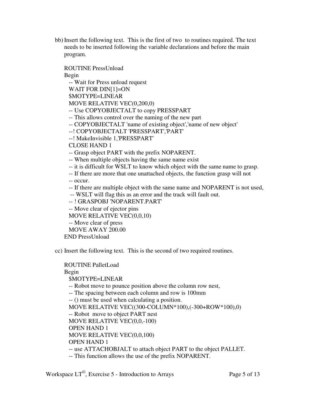bb) Insert the following text. This is the first of two to routines required. The text needs to be inserted following the variable declarations and before the main program.

ROUTINE PressUnload

Begin

-- Wait for Press unload request

WAIT FOR DIN[1]=ON

\$MOTYPE=LINEAR

MOVE RELATIVE VEC(0,200,0)

-- Use COPYOBJECTALT to copy PRESSPART

-- This allows control over the naming of the new part

-- COPYOBJECTALT 'name of existing object','name of new object'

--! COPYOBJECTALT 'PRESSPART','PART'

--! MakeInvisible 1,'PRESSPART'

CLOSE HAND 1

-- Grasp object PART with the prefix NOPARENT.

-- When multiple objects having the same name exist

- -- it is difficult for WSLT to know which object with the same name to grasp.
- -- If there are more that one unattached objects, the function grasp will not

-- occur.

-- If there are multiple object with the same name and NOPARENT is not used,

-- WSLT will flag this as an error and the track will fault out.

-- ! GRASPOBJ 'NOPARENT.PART'

-- Move clear of ejector pins

MOVE RELATIVE VEC(0,0,10)

-- Move clear of press

MOVE AWAY 200.00

END PressUnload

cc) Insert the following text. This is the second of two required routines.

ROUTINE PalletLoad Begin \$MOTYPE=LINEAR -- Robot move to pounce position above the column row nest, -- The spacing between each column and row is 100mm -- () must be used when calculating a position. MOVE RELATIVE VEC((300-COLUMN\*100),(-300+ROW\*100),0) -- Robot move to object PART nest MOVE RELATIVE VEC(0,0,-100) OPEN HAND 1 MOVE RELATIVE VEC(0,0,100) OPEN HAND 1 -- use ATTACHOBJALT to attach object PART to the object PALLET. -- This function allows the use of the prefix NOPARENT.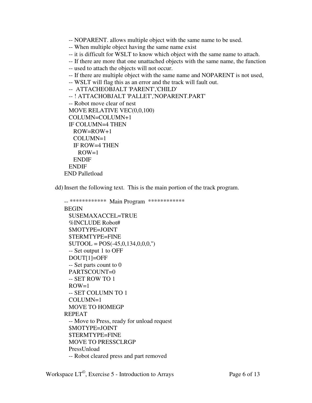- -- NOPARENT. allows multiple object with the same name to be used.
- -- When multiple object having the same name exist
- -- it is difficult for WSLT to know which object with the same name to attach.
- -- If there are more that one unattached objects with the same name, the function
- -- used to attach the objects will not occur.
- -- If there are multiple object with the same name and NOPARENT is not used,
- -- WSLT will flag this as an error and the track will fault out.

```
 -- ATTACHEOBJALT 'PARENT','CHILD'
```

```
 -- ! ATTACHOBJALT 'PALLET','NOPARENT.PART' 
  -- Robot move clear of nest 
  MOVE RELATIVE VEC(0,0,100) 
  COLUMN=COLUMN+1 
  IF COLUMN=4 THEN 
    ROW=ROW+1 
    COLUMN=1 
    IF ROW=4 THEN 
    ROW=1 ENDIF 
  ENDIF 
END Palletload
```
dd) Insert the following text. This is the main portion of the track program.

```
-- ************ Main Program ************ 
BEGIN 
  $USEMAXACCEL=TRUE 
  %INCLUDE Robot# 
  $MOTYPE=JOINT 
  $TERMTYPE=FINE 
 $UTOOL = POS(-45, 0, 134, 0, 0, 0, ...) -- Set output 1 to OFF 
  DOUT[1]=OFF 
  -- Set parts count to 0 
  PARTSCOUNT=0 
  -- SET ROW TO 1 
 ROW=1 -- SET COLUMN TO 1 
  COLUMN=1 
  MOVE TO HOMEGP 
REPEAT 
  -- Move to Press, ready for unload request 
  $MOTYPE=JOINT 
  $TERMTYPE=FINE 
  MOVE TO PRESSCLRGP 
  PressUnload 
  -- Robot cleared press and part removed
```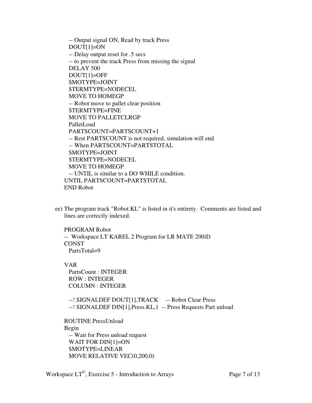-- Output signal ON, Read by track Press DOUT[1]=ON -- Delay output reset for .5 secs -- to prevent the track Press from missing the signal DELAY 500 DOUT[1]=OFF \$MOTYPE=JOINT \$TERMTYPE=NODECEL MOVE TO HOMEGP -- Robot move to pallet clear position \$TERMTYPE=FINE MOVE TO PALLETCLRGP PalletLoad PARTSCOUNT=PARTSCOUNT+1 -- Rest PARTSCOUNT is not required, simulation will end -- When PARTSCOUNT=PARTSTOTAL \$MOTYPE=JOINT \$TERMTYPE=NODECEL MOVE TO HOMEGP -- UNTIL is similar to a DO WHILE condition. UNTIL PARTSCOUNT=PARTSTOTAL END Robot

ee) The program track "Robot.KL" is listed in it's entirety. Comments are listed and lines are correctly indexed.

PROGRAM Robot -- Workspace LT KAREL 2 Program for LR MATE 200iD **CONST** PartsTotal=9

## VAR

 PartsCount : INTEGER ROW : INTEGER COLUMN : INTEGER

--! SIGNALDEF DOUT[1],TRACK -- Robot Clear Press --! SIGNALDEF DIN[1],Press.KL,1 -- Press Requests Part unload

ROUTINE PressUnload Begin -- Wait for Press unload request WAIT FOR DIN[1]=ON \$MOTYPE=LINEAR MOVE RELATIVE VEC(0,200,0)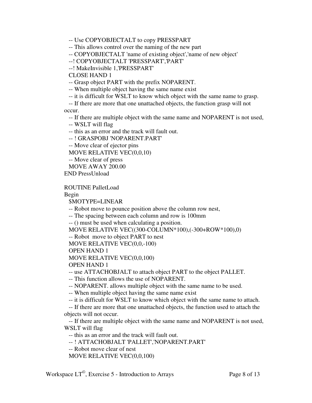-- Use COPYOBJECTALT to copy PRESSPART

-- This allows control over the naming of the new part

-- COPYOBJECTALT 'name of existing object','name of new object'

--! COPYOBJECTALT 'PRESSPART','PART'

--! MakeInvisible 1,'PRESSPART'

CLOSE HAND 1

-- Grasp object PART with the prefix NOPARENT.

-- When multiple object having the same name exist

-- it is difficult for WSLT to know which object with the same name to grasp.

 -- If there are more that one unattached objects, the function grasp will not occur.

-- If there are multiple object with the same name and NOPARENT is not used,

-- WSLT will flag

-- this as an error and the track will fault out.

-- ! GRASPOBJ 'NOPARENT.PART'

-- Move clear of ejector pins

MOVE RELATIVE VEC(0,0,10)

-- Move clear of press

MOVE AWAY 200.00

END PressUnload

ROUTINE PalletLoad

Begin

\$MOTYPE=LINEAR

-- Robot move to pounce position above the column row nest,

-- The spacing between each column and row is 100mm

-- () must be used when calculating a position.

MOVE RELATIVE VEC((300-COLUMN\*100),(-300+ROW\*100),0)

-- Robot move to object PART to nest

MOVE RELATIVE VEC(0,0,-100)

OPEN HAND 1

MOVE RELATIVE VEC(0,0,100)

OPEN HAND 1

-- use ATTACHOBJALT to attach object PART to the object PALLET.

-- This function allows the use of NOPARENT.

-- NOPARENT. allows multiple object with the same name to be used.

-- When multiple object having the same name exist

-- it is difficult for WSLT to know which object with the same name to attach.

 -- If there are more that one unattached objects, the function used to attach the objects will not occur.

 -- If there are multiple object with the same name and NOPARENT is not used, WSLT will flag

-- this as an error and the track will fault out.

-- ! ATTACHOBJALT 'PALLET','NOPARENT.PART'

-- Robot move clear of nest

MOVE RELATIVE VEC(0,0,100)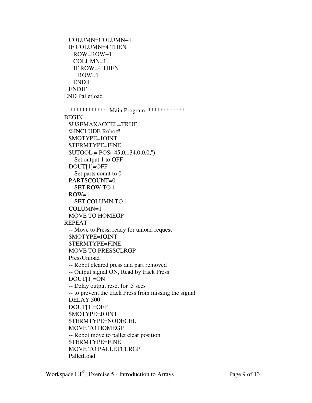```
 COLUMN=COLUMN+1 
  IF COLUMN=4 THEN 
    ROW=ROW+1 
    COLUMN=1 
    IF ROW=4 THEN 
    ROW=1 ENDIF 
  ENDIF 
END Palletload 
-- ************ Main Program ************ 
BEGIN 
  $USEMAXACCEL=TRUE 
  %INCLUDE Robot# 
  $MOTYPE=JOINT 
  $TERMTYPE=FINE 
 $UTOOL = POS(-45,0,134,0,0,0,") -- Set output 1 to OFF 
  DOUT[1]=OFF 
  -- Set parts count to 0 
  PARTSCOUNT=0 
  -- SET ROW TO 1 
 ROW=1 -- SET COLUMN TO 1 
  COLUMN=1 
  MOVE TO HOMEGP 
REPEAT 
  -- Move to Press, ready for unload request 
  $MOTYPE=JOINT 
  $TERMTYPE=FINE 
  MOVE TO PRESSCLRGP 
  PressUnload 
  -- Robot cleared press and part removed 
  -- Output signal ON, Read by track Press 
  DOUT[1]=ON 
  -- Delay output reset for .5 secs 
  -- to prevent the track Press from missing the signal 
  DELAY 500 
  DOUT[1]=OFF 
  $MOTYPE=JOINT 
  $TERMTYPE=NODECEL 
  MOVE TO HOMEGP 
  -- Robot move to pallet clear position 
  $TERMTYPE=FINE 
  MOVE TO PALLETCLRGP 
  PalletLoad
```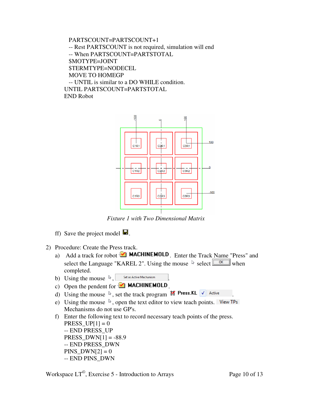```
 PARTSCOUNT=PARTSCOUNT+1 
  -- Rest PARTSCOUNT is not required, simulation will end 
  -- When PARTSCOUNT=PARTSTOTAL 
  $MOTYPE=JOINT 
  $TERMTYPE=NODECEL 
  MOVE TO HOMEGP 
  -- UNTIL is similar to a DO WHILE condition. 
UNTIL PARTSCOUNT=PARTSTOTAL 
END Robot
```


*Fixture 1 with Two Dimensional Matrix* 

- ff) Save the project model  $\blacksquare$ .
- 2) Procedure: Create the Press track.
	- a) Add a track for robot  $\blacksquare$  MACHINEMOLD Enter the Track Name "Press" and select the Language "KAREL 2". Using the mouse  $\sqrt[k]{\text{select}}$  when completed.
	- b) Using the mouse  $\sqrt[12]{\phantom{1}}$  Set as Active Mechanism
	- c) Open the pendent for  $\mathbf{X}$  **MACHINEMOLD**.
	- d) Using the mouse  $\sqrt[k]{ }$ , set the track program  $\frac{1}{k}$  Press. KL  $\sqrt{\ }$  Active
	- e) Using the mouse  $\sqrt[k]{ }$ , open the text editor to view teach points. View TPs Mechanisms do not use GP's.

f) Enter the following text to record necessary teach points of the press.  $PRESS_UP[1] = 0$ -- END PRESS\_UP  $PRESS_DWN[1] = -88.9$ -- END PRESS\_DWN  $PINS_DWN[2] = 0$ -- END PINS\_DWN

Workspace  $LT^{\circ}$ , Exercise 5 - Introduction to Arrays Page 10 of 13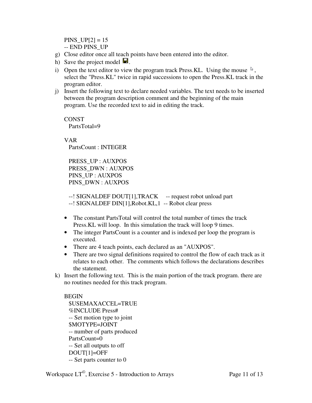$PINS_UP[2] = 15$ -- END PINS\_UP

- g) Close editor once all teach points have been entered into the editor.
- h) Save the project model  $\blacksquare$ .
- i) Open the text editor to view the program track Press.KL. Using the mouse  $\mathbb{R}$ , select the "Press.KL" twice in rapid successions to open the Press.KL track in the program editor.
- j) Insert the following text to declare needed variables. The text needs to be inserted between the program description comment and the beginning of the main program. Use the recorded text to aid in editing the track.

CONST PartsTotal=9

VAR PartsCount : INTEGER

 PRESS\_UP : AUXPOS PRESS\_DWN : AUXPOS PINS\_UP : AUXPOS PINS\_DWN : AUXPOS

 --! SIGNALDEF DOUT[1],TRACK -- request robot unload part --! SIGNALDEF DIN[1],Robot.KL,1 -- Robot clear press

- The constant PartsTotal will control the total number of times the track Press.KL will loop. In this simulation the track will loop 9 times.
- The integer PartsCount is a counter and is indexed per loop the program is executed.
- There are 4 teach points, each declared as an "AUXPOS".
- There are two signal definitions required to control the flow of each track as it relates to each other. The comments which follows the declarations describes the statement.
- k) Insert the following text. This is the main portion of the track program. there are no routines needed for this track program.

**BEGIN**  \$USEMAXACCEL=TRUE %INCLUDE Press# -- Set motion type to joint \$MOTYPE=JOINT -- number of parts produced PartsCount=0 -- Set all outputs to off DOUT[1]=OFF -- Set parts counter to 0

Workspace  $LT^{\circ}$ , Exercise 5 - Introduction to Arrays Page 11 of 13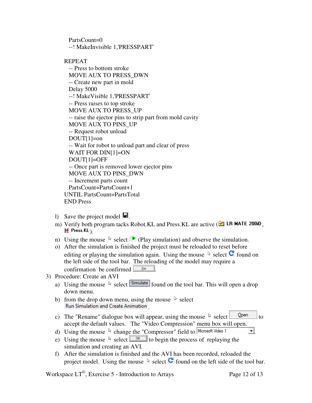PartsCount=0 --! MakeInvisible 1,'PRESSPART'

REPEAT

 -- Press to bottom stroke MOVE AUX TO PRESS\_DWN -- Create new part in mold Delay 5000 --! MakeVisible 1,'PRESSPART' -- Press raises to top stroke MOVE AUX TO PRESS\_UP -- raise the ejector pins to strip part from mold cavity MOVE AUX TO PINS\_UP -- Request robot unload  $DOUT[1]=on$  -- Wait for robot to unload part and clear of press WAIT FOR DIN[1]=ON DOUT[1]=OFF -- Once part is removed lower ejector pins MOVE AUX TO PINS\_DWN -- Increment parts count PartsCount=PartsCount+1 UNTIL PartsCount=PartsTotal END Press

- 1) Save the project model  $\blacksquare$ .
- m) Verify both program tacks Robot.KL and Press.KL are active ( $\blacksquare$  LR MATE 200iD,  $\mathbf{H}$  Press.KL)
- n) Using the mouse  $\&$  select  $\triangleright$  (Play simulation) and observe the simulation.
- o) After the simulation is finished the project must be reloaded to reset before editing or playing the simulation again. Using the mouse  $\&$  select  $\bullet$  found on the left side of the tool bar. The reloading of the model may require a confirmation be confirmed  $\sqrt{\frac{Y_{\text{es}}}{Y_{\text{es}}}}$
- 3) Procedure: Create an AVI
	- a) Using the mouse  $\&$  select  $\boxed{\text{Simulate}}$  found on the tool bar. This will open a drop down menu.
	- b) from the drop down menu, using the mouse  $\&$  select Run Simulation and Create Animation
	- c) The "Rename" dialogue box will appear, using the mouse  $\frac{1}{x}$  select  $\frac{Q_{\text{pen}}}{x}$  to accept the default values. The "Video Compression" menu box will open.
	- d) Using the mouse  $\sqrt[k]{ }$  change the "Compressor" field to  $\sqrt{\frac{\text{Microsoft Video 1}}{ } }$
	- e) Using the mouse  $\sqrt[k]{\phantom{a}}$  select  $\sqrt{\frac{6k}{\sqrt[k]{\phantom{a}}}}$  to begin the process of replaying the simulation and creating an AVI.
	- f) After the simulation is finished and the AVI has been recorded, reloaded the project model. Using the mouse  $\&$  select  $\bullet$  found on the left side of the tool bar.

Workspace  $LT^{\circ}$ , Exercise 5 - Introduction to Arrays Page 12 of 13